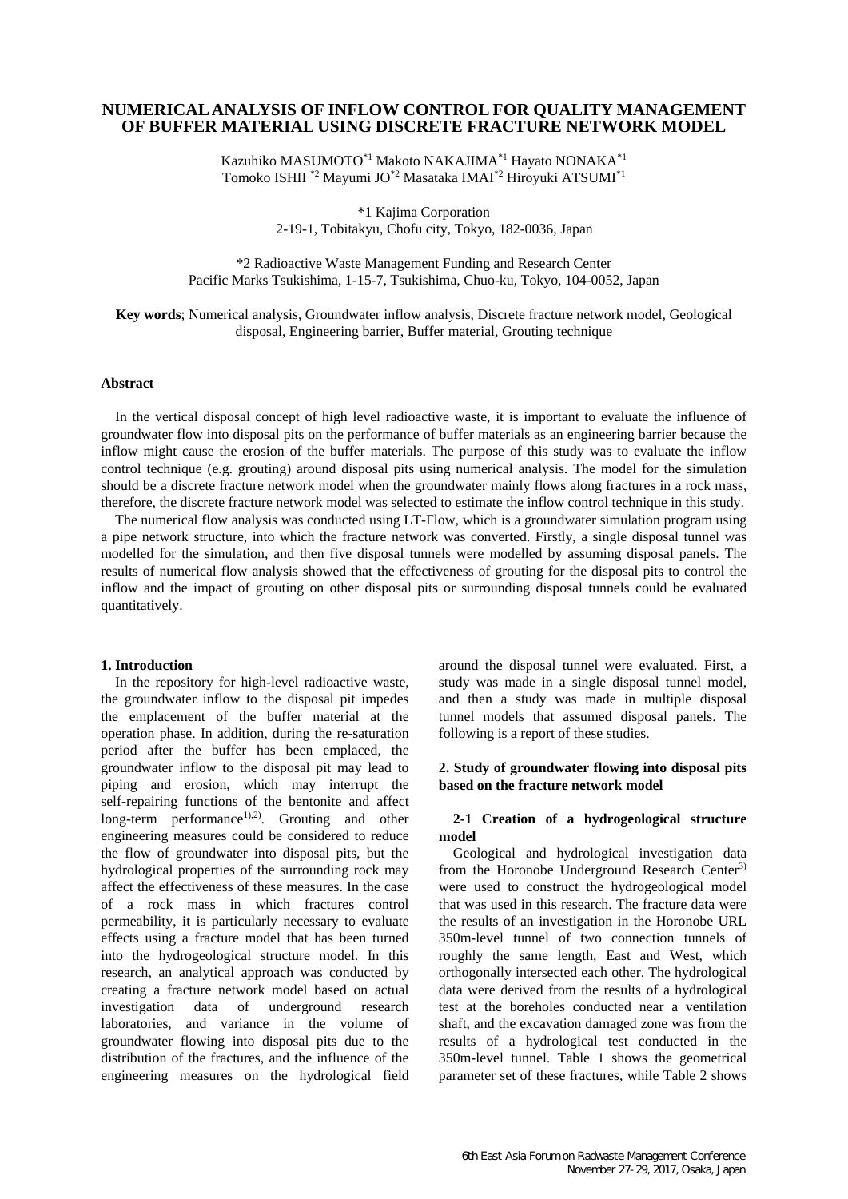# **NUMERICAL ANALYSIS OF INFLOW CONTROL FOR QUALITY MANAGEMENT OF BUFFER MATERIAL USING DISCRETE FRACTURE NETWORK MODEL**

Kazuhiko MASUMOTO\*1 Makoto NAKAJIMA\*1 Hayato NONAKA\*1 Tomoko ISHII \*2 Mayumi JO\*2 Masataka IMAI\*2 Hiroyuki ATSUMI\*1

> \*1 Kajima Corporation 2-19-1, Tobitakyu, Chofu city, Tokyo, 182-0036, Japan

\*2 Radioactive Waste Management Funding and Research Center Pacific Marks Tsukishima, 1-15-7, Tsukishima, Chuo-ku, Tokyo, 104-0052, Japan

**Key words**; Numerical analysis, Groundwater inflow analysis, Discrete fracture network model, Geological disposal, Engineering barrier, Buffer material, Grouting technique

#### **Abstract**

In the vertical disposal concept of high level radioactive waste, it is important to evaluate the influence of groundwater flow into disposal pits on the performance of buffer materials as an engineering barrier because the inflow might cause the erosion of the buffer materials. The purpose of this study was to evaluate the inflow control technique (e.g. grouting) around disposal pits using numerical analysis. The model for the simulation should be a discrete fracture network model when the groundwater mainly flows along fractures in a rock mass, therefore, the discrete fracture network model was selected to estimate the inflow control technique in this study.

The numerical flow analysis was conducted using LT-Flow, which is a groundwater simulation program using a pipe network structure, into which the fracture network was converted. Firstly, a single disposal tunnel was modelled for the simulation, and then five disposal tunnels were modelled by assuming disposal panels. The results of numerical flow analysis showed that the effectiveness of grouting for the disposal pits to control the inflow and the impact of grouting on other disposal pits or surrounding disposal tunnels could be evaluated quantitatively.

#### **1. Introduction**

In the repository for high-level radioactive waste, the groundwater inflow to the disposal pit impedes the emplacement of the buffer material at the operation phase. In addition, during the re-saturation period after the buffer has been emplaced, the groundwater inflow to the disposal pit may lead to piping and erosion, which may interrupt the self-repairing functions of the bentonite and affect  $long-term$  performance<sup>1),2)</sup>. Grouting and other engineering measures could be considered to reduce the flow of groundwater into disposal pits, but the hydrological properties of the surrounding rock may affect the effectiveness of these measures. In the case of a rock mass in which fractures control permeability, it is particularly necessary to evaluate effects using a fracture model that has been turned into the hydrogeological structure model. In this research, an analytical approach was conducted by creating a fracture network model based on actual investigation data of underground research laboratories, and variance in the volume of groundwater flowing into disposal pits due to the distribution of the fractures, and the influence of the engineering measures on the hydrological field around the disposal tunnel were evaluated. First, a study was made in a single disposal tunnel model, and then a study was made in multiple disposal tunnel models that assumed disposal panels. The following is a report of these studies.

## **2. Study of groundwater flowing into disposal pits based on the fracture network model**

#### **2-1 Creation of a hydrogeological structure model**

Geological and hydrological investigation data from the Horonobe Underground Research Center<sup>3)</sup> were used to construct the hydrogeological model that was used in this research. The fracture data were the results of an investigation in the Horonobe URL 350m-level tunnel of two connection tunnels of roughly the same length, East and West, which orthogonally intersected each other. The hydrological data were derived from the results of a hydrological test at the boreholes conducted near a ventilation shaft, and the excavation damaged zone was from the results of a hydrological test conducted in the 350m-level tunnel. Table 1 shows the geometrical parameter set of these fractures, while Table 2 shows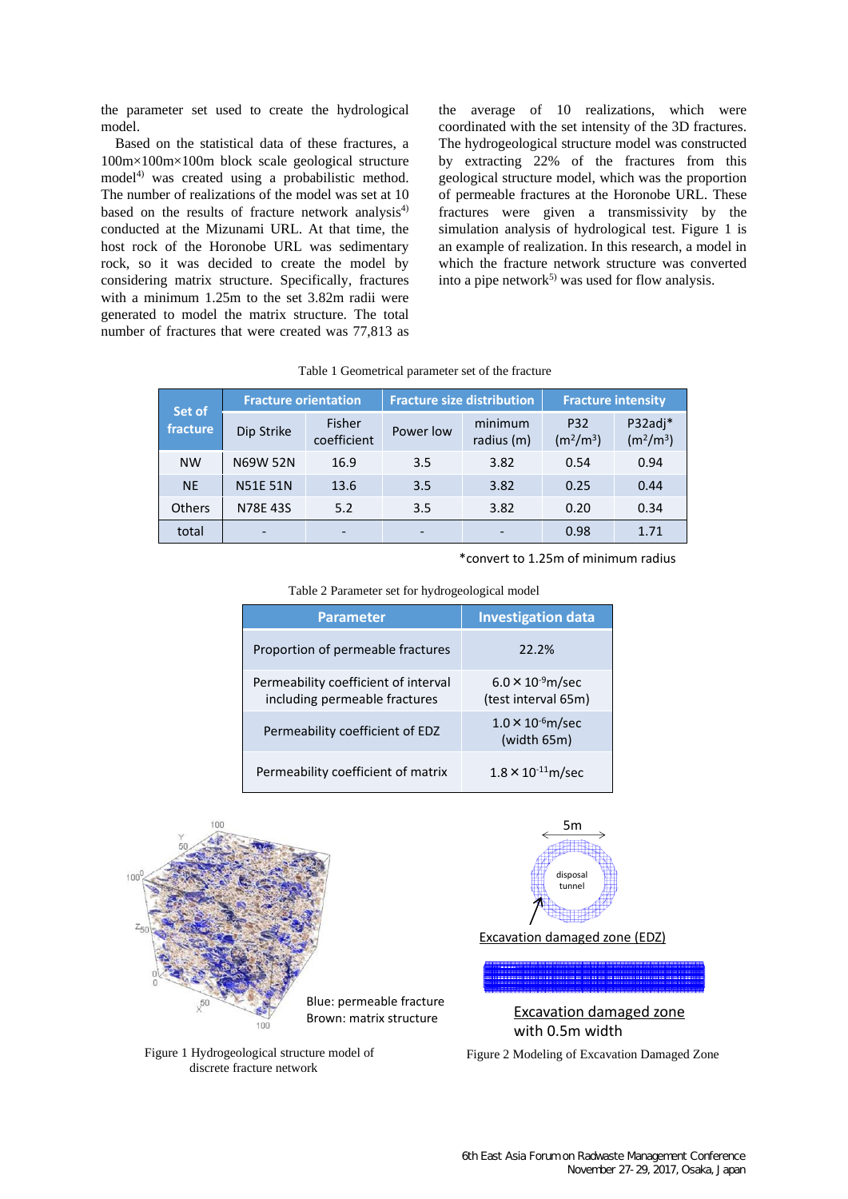the parameter set used to create the hydrological model.

Based on the statistical data of these fractures, a 100m×100m×100m block scale geological structure model<sup>4)</sup> was created using a probabilistic method. The number of realizations of the model was set at 10 based on the results of fracture network analysis $4$ ) conducted at the Mizunami URL. At that time, the host rock of the Horonobe URL was sedimentary rock, so it was decided to create the model by considering matrix structure. Specifically, fractures with a minimum 1.25m to the set 3.82m radii were generated to model the matrix structure. The total number of fractures that were created was 77,813 as the average of 10 realizations, which were coordinated with the set intensity of the 3D fractures. The hydrogeological structure model was constructed by extracting 22% of the fractures from this geological structure model, which was the proportion of permeable fractures at the Horonobe URL. These fractures were given a transmissivity by the simulation analysis of hydrological test. Figure 1 is an example of realization. In this research, a model in which the fracture network structure was converted into a pipe network<sup>5)</sup> was used for flow analysis.

| Set of<br>fracture | <b>Fracture orientation</b> |                          |                 | <b>Fracture size distribution</b> | <b>Fracture intensity</b>                |                                              |  |
|--------------------|-----------------------------|--------------------------|-----------------|-----------------------------------|------------------------------------------|----------------------------------------------|--|
|                    | Dip Strike                  | Fisher<br>coefficient    | Power low       | minimum<br>radius (m)             | P32<br>(m <sup>2</sup> /m <sup>3</sup> ) | P32adj*<br>(m <sup>2</sup> /m <sup>3</sup> ) |  |
| <b>NW</b>          | <b>N69W 52N</b>             | 16.9                     | 3.5             | 3.82                              | 0.54                                     | 0.94                                         |  |
| <b>NE</b>          | <b>N51E 51N</b>             | 13.6                     | 3.5             | 3.82                              | 0.25                                     | 0.44                                         |  |
| <b>Others</b>      | N78E 43S                    | 5.2                      | 3.5             | 3.82                              | 0.20                                     | 0.34                                         |  |
| total              |                             | $\overline{\phantom{a}}$ | $\qquad \qquad$ |                                   | 0.98                                     | 1.71                                         |  |

Table 1 Geometrical parameter set of the fracture

\*convert to 1.25m of minimum radius

| Table 2 Parameter set for hydrogeological model                       |                                                   |  |  |  |  |  |
|-----------------------------------------------------------------------|---------------------------------------------------|--|--|--|--|--|
| <b>Parameter</b>                                                      | <b>Investigation data</b>                         |  |  |  |  |  |
| Proportion of permeable fractures                                     | 22.2%                                             |  |  |  |  |  |
| Permeability coefficient of interval<br>including permeable fractures | $6.0 \times 10^{-9}$ m/sec<br>(test interval 65m) |  |  |  |  |  |
| Permeability coefficient of EDZ                                       | $1.0 \times 10^{-6}$ m/sec<br>(width 65m)         |  |  |  |  |  |

Permeability coefficient of matrix  $1.8 \times 10^{-11}$ m/sec



Figure 1 Hydrogeological structure model of Figure 2 Modeling of Excavation Damaged Zone discrete fracture network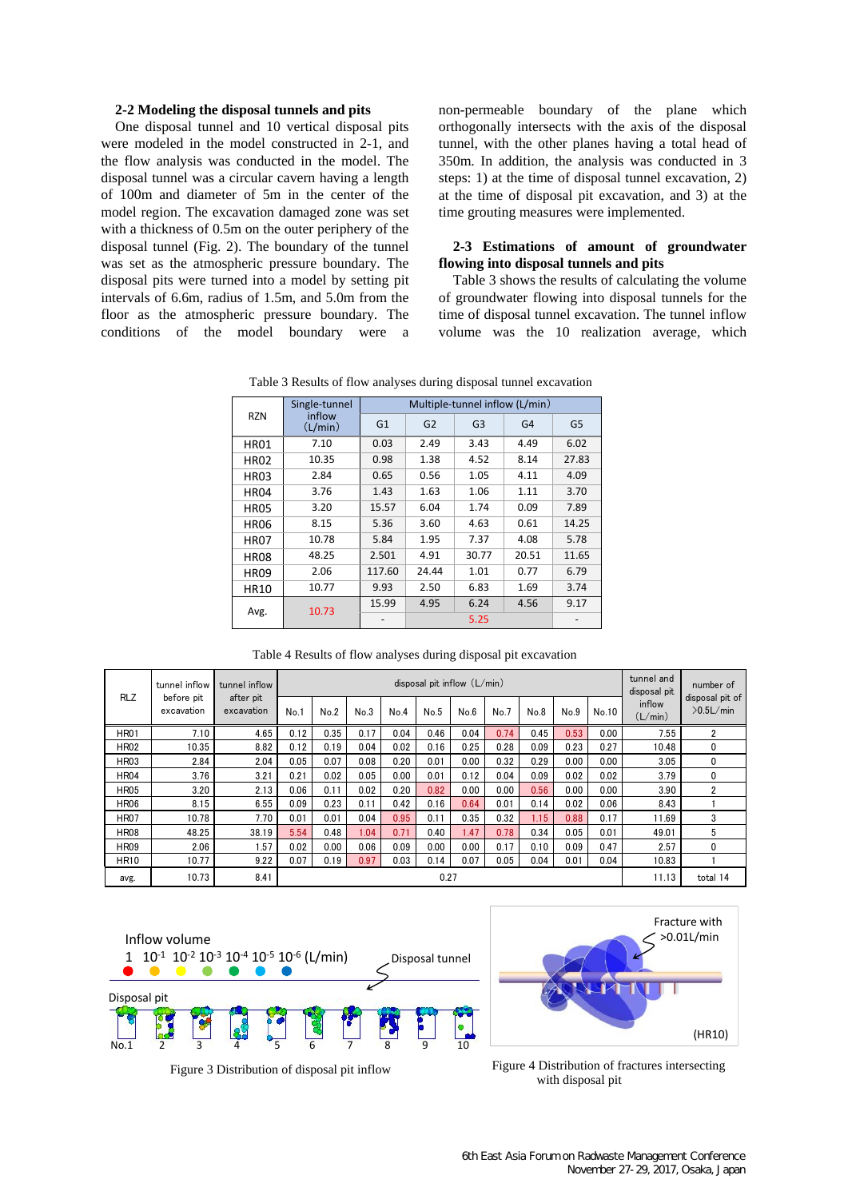#### **2-2 Modeling the disposal tunnels and pits**

One disposal tunnel and 10 vertical disposal pits were modeled in the model constructed in 2-1, and the flow analysis was conducted in the model. The disposal tunnel was a circular cavern having a length of 100m and diameter of 5m in the center of the model region. The excavation damaged zone was set with a thickness of 0.5m on the outer periphery of the disposal tunnel (Fig. 2). The boundary of the tunnel was set as the atmospheric pressure boundary. The disposal pits were turned into a model by setting pit intervals of 6.6m, radius of 1.5m, and 5.0m from the floor as the atmospheric pressure boundary. The conditions of the model boundary were a non-permeable boundary of the plane which orthogonally intersects with the axis of the disposal tunnel, with the other planes having a total head of 350m. In addition, the analysis was conducted in 3 steps: 1) at the time of disposal tunnel excavation, 2) at the time of disposal pit excavation, and 3) at the time grouting measures were implemented.

#### **2-3 Estimations of amount of groundwater flowing into disposal tunnels and pits**

Table 3 shows the results of calculating the volume of groundwater flowing into disposal tunnels for the time of disposal tunnel excavation. The tunnel inflow volume was the 10 realization average, which

Table 3 Results of flow analyses during disposal tunnel excavation

| <b>RZN</b>  | Single-tunnel     | Multiple-tunnel inflow (L/min) |                |                |                |                |  |  |  |
|-------------|-------------------|--------------------------------|----------------|----------------|----------------|----------------|--|--|--|
|             | inflow<br>(L/min) | G1                             | G <sub>2</sub> | G <sub>3</sub> | G <sub>4</sub> | G <sub>5</sub> |  |  |  |
| <b>HR01</b> | 7.10              | 0.03                           | 2.49           | 3.43           | 4.49           | 6.02           |  |  |  |
| <b>HR02</b> | 10.35             | 0.98                           | 1.38           | 4.52           | 8.14           | 27.83          |  |  |  |
| <b>HR03</b> | 2.84              | 0.65                           | 0.56           | 1.05           | 4.11           | 4.09           |  |  |  |
| <b>HR04</b> | 3.76              | 1.43                           | 1.63           | 1.06           | 1.11           | 3.70           |  |  |  |
| <b>HR05</b> | 3.20              | 15.57                          | 6.04           | 1.74           | 0.09           | 7.89           |  |  |  |
| <b>HR06</b> | 8.15              | 5.36                           | 3.60           | 4.63           | 0.61           | 14.25          |  |  |  |
| <b>HR07</b> | 10.78             | 5.84                           | 1.95           | 7.37           | 4.08           | 5.78           |  |  |  |
| <b>HR08</b> | 48.25             | 2.501                          | 4.91           | 30.77          | 20.51          | 11.65          |  |  |  |
| <b>HR09</b> | 2.06              | 117.60                         | 24.44          | 1.01           | 0.77           | 6.79           |  |  |  |
| <b>HR10</b> | 10.77             | 9.93                           | 2.50           | 6.83           | 1.69           | 3.74           |  |  |  |
| Avg.        | 10.73             | 15.99                          | 4.95           | 6.24           | 4.56           | 9.17           |  |  |  |
|             |                   |                                |                |                |                |                |  |  |  |

Table 4 Results of flow analyses during disposal pit excavation

|             | tunnel inflow<br>before pit<br>excavation | tunnel inflow<br>after pit<br>excavation | disposal pit inflow $(L/min)$ |      |      |      |      |      |      | tunnel and<br>disposal pit | number of |       |                   |                                 |
|-------------|-------------------------------------------|------------------------------------------|-------------------------------|------|------|------|------|------|------|----------------------------|-----------|-------|-------------------|---------------------------------|
| <b>RLZ</b>  |                                           |                                          | No.1                          | No.2 | No.3 | No.4 | No.5 | No.6 | No.7 | No.8                       | No.9      | No.10 | inflow<br>(L/min) | disposal pit of<br>$>0.5$ L/min |
| <b>HR01</b> | 7.10                                      | 4.65                                     | 0.12                          | 0.35 | 0.17 | 0.04 | 0.46 | 0.04 | 0.74 | 0.45                       | 0.53      | 0.00  | 7.55              | 2                               |
| <b>HR02</b> | 10.35                                     | 8.82                                     | 0.12                          | 0.19 | 0.04 | 0.02 | 0.16 | 0.25 | 0.28 | 0.09                       | 0.23      | 0.27  | 10.48             | 0                               |
| <b>HR03</b> | 2.84                                      | 2.04                                     | 0.05                          | 0.07 | 0.08 | 0.20 | 0.01 | 0.00 | 0.32 | 0.29                       | 0.00      | 0.00  | 3.05              | 0                               |
| <b>HR04</b> | 3.76                                      | 3.21                                     | 0.21                          | 0.02 | 0.05 | 0.00 | 0.01 | 0.12 | 0.04 | 0.09                       | 0.02      | 0.02  | 3.79              | 0                               |
| <b>HR05</b> | 3.20                                      | 2.13                                     | 0.06                          | 0.11 | 0.02 | 0.20 | 0.82 | 0.00 | 0.00 | 0.56                       | 0.00      | 0.00  | 3.90              | $\overline{2}$                  |
| <b>HR06</b> | 8.15                                      | 6.55                                     | 0.09                          | 0.23 | 0.11 | 0.42 | 0.16 | 0.64 | 0.01 | 0.14                       | 0.02      | 0.06  | 8.43              |                                 |
| <b>HR07</b> | 10.78                                     | 7.70                                     | 0.01                          | 0.01 | 0.04 | 0.95 | 0.11 | 0.35 | 0.32 | 1.15                       | 0.88      | 0.17  | 11.69             | 3                               |
| <b>HR08</b> | 48.25                                     | 38.19                                    | 5.54                          | 0.48 | 1.04 | 0.71 | 0.40 | 1.47 | 0.78 | 0.34                       | 0.05      | 0.01  | 49.01             | 5                               |
| <b>HR09</b> | 2.06                                      | 1.57                                     | 0.02                          | 0.00 | 0.06 | 0.09 | 0.00 | 0.00 | 0.17 | 0.10                       | 0.09      | 0.47  | 2.57              | $\Omega$                        |
| <b>HR10</b> | 10.77                                     | 9.22                                     | 0.07                          | 0.19 | 0.97 | 0.03 | 0.14 | 0.07 | 0.05 | 0.04                       | 0.01      | 0.04  | 10.83             |                                 |
| avg.        | 10.73                                     | 8.41                                     |                               |      |      |      | 0.27 |      |      |                            |           |       | 11.13             | total 14                        |



Fracture with >0.01L/min (HR10)

Figure 3 Distribution of disposal pit inflow Figure 4 Distribution of fractures intersecting with disposal pit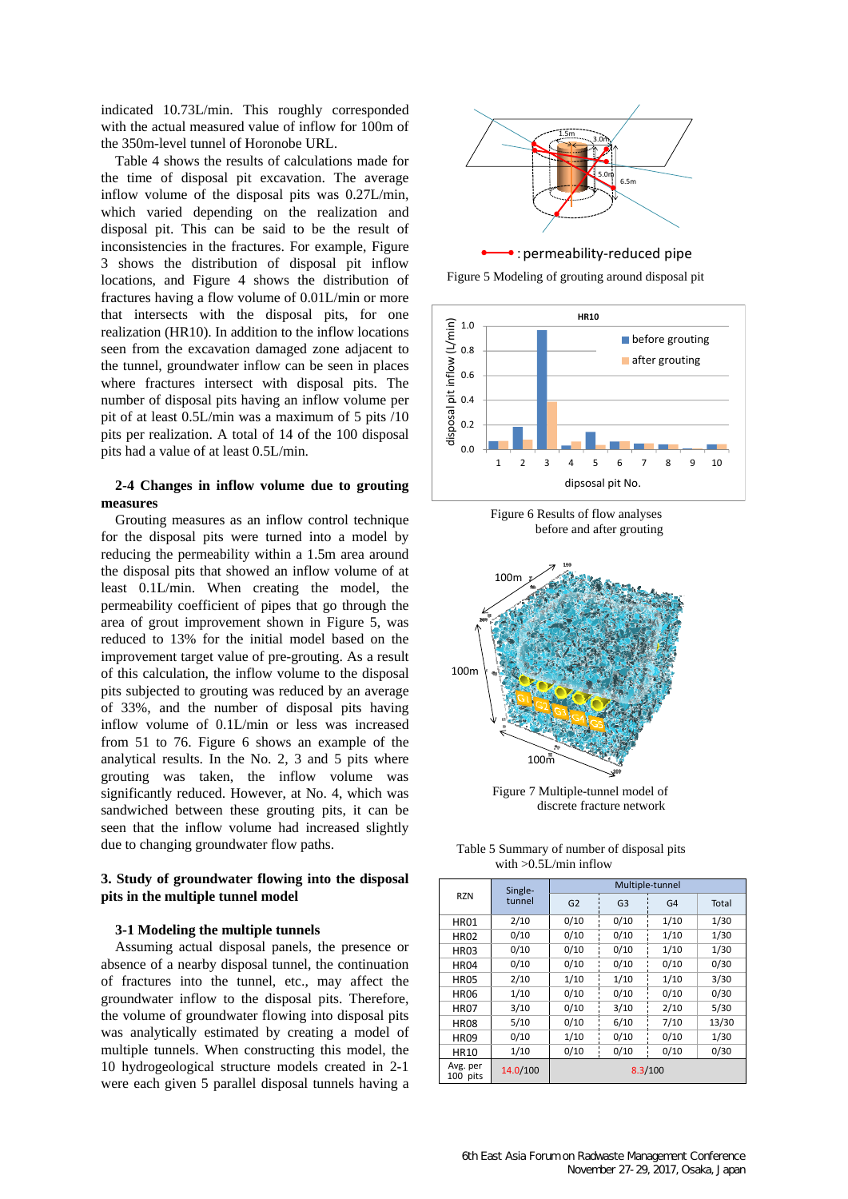indicated 10.73L/min. This roughly corresponded with the actual measured value of inflow for 100m of the 350m-level tunnel of Horonobe URL.

Table 4 shows the results of calculations made for the time of disposal pit excavation. The average inflow volume of the disposal pits was 0.27L/min, which varied depending on the realization and disposal pit. This can be said to be the result of inconsistencies in the fractures. For example, Figure 3 shows the distribution of disposal pit inflow locations, and Figure 4 shows the distribution of fractures having a flow volume of 0.01L/min or more that intersects with the disposal pits, for one realization (HR10). In addition to the inflow locations seen from the excavation damaged zone adjacent to the tunnel, groundwater inflow can be seen in places where fractures intersect with disposal pits. The number of disposal pits having an inflow volume per pit of at least 0.5L/min was a maximum of 5 pits /10 pits per realization. A total of 14 of the 100 disposal pits had a value of at least 0.5L/min.

### **2-4 Changes in inflow volume due to grouting measures**

Grouting measures as an inflow control technique for the disposal pits were turned into a model by reducing the permeability within a 1.5m area around the disposal pits that showed an inflow volume of at least 0.1L/min. When creating the model, the permeability coefficient of pipes that go through the area of grout improvement shown in Figure 5, was reduced to 13% for the initial model based on the improvement target value of pre-grouting. As a result of this calculation, the inflow volume to the disposal pits subjected to grouting was reduced by an average of 33%, and the number of disposal pits having inflow volume of 0.1L/min or less was increased from 51 to 76. Figure 6 shows an example of the analytical results. In the No. 2, 3 and 5 pits where grouting was taken, the inflow volume was significantly reduced. However, at No. 4, which was sandwiched between these grouting pits, it can be seen that the inflow volume had increased slightly due to changing groundwater flow paths.

## **3. Study of groundwater flowing into the disposal pits in the multiple tunnel model**

#### **3-1 Modeling the multiple tunnels**

Assuming actual disposal panels, the presence or absence of a nearby disposal tunnel, the continuation of fractures into the tunnel, etc., may affect the groundwater inflow to the disposal pits. Therefore, the volume of groundwater flowing into disposal pits was analytically estimated by creating a model of multiple tunnels. When constructing this model, the 10 hydrogeological structure models created in 2-1 were each given 5 parallel disposal tunnels having a







Figure 6 Results of flow analyses before and after grouting



Figure 7 Multiple-tunnel model of discrete fracture network

| Table 5 Summary of number of disposal pits |  |
|--------------------------------------------|--|
| with $>0.5$ L/min inflow                   |  |

| <b>RZN</b>           | Single-<br>tunnel | Multiple-tunnel |                |      |       |  |  |  |
|----------------------|-------------------|-----------------|----------------|------|-------|--|--|--|
|                      |                   | G <sub>2</sub>  | G <sub>3</sub> | G4   | Total |  |  |  |
| <b>HR01</b>          | 2/10              | 0/10            | 0/10           | 1/10 | 1/30  |  |  |  |
| <b>HR02</b>          | 0/10              | 0/10            | 0/10           | 1/10 | 1/30  |  |  |  |
| <b>HR03</b>          | 0/10              | 0/10            | 0/10           | 1/10 | 1/30  |  |  |  |
| <b>HR04</b>          | 0/10              | 0/10            | 0/10           | 0/10 | 0/30  |  |  |  |
| <b>HR05</b>          | 2/10              | 1/10            | 1/10           | 1/10 | 3/30  |  |  |  |
| <b>HR06</b>          | 1/10              | 0/10            | 0/10           | 0/10 | 0/30  |  |  |  |
| <b>HR07</b>          | 3/10              | 0/10            | 3/10           | 2/10 | 5/30  |  |  |  |
| <b>HR08</b>          | 5/10              | 0/10            | 6/10           | 7/10 | 13/30 |  |  |  |
| <b>HR09</b>          | 0/10              | 1/10            | 0/10           | 0/10 | 1/30  |  |  |  |
| <b>HR10</b>          | 1/10              | 0/10            | 0/10           | 0/10 | 0/30  |  |  |  |
| Avg. per<br>100 pits | 14.0/100          | 8.3/100         |                |      |       |  |  |  |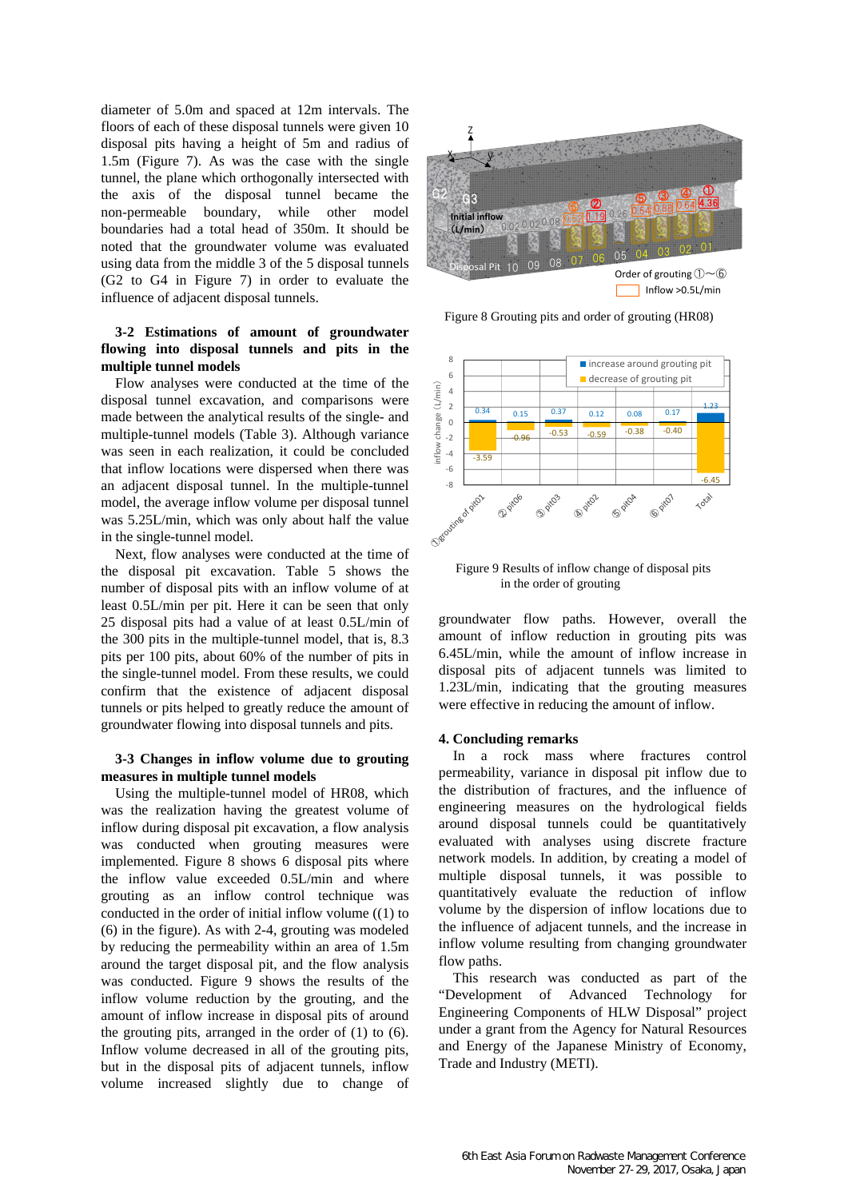diameter of 5.0m and spaced at 12m intervals. The floors of each of these disposal tunnels were given 10 disposal pits having a height of 5m and radius of 1.5m (Figure 7). As was the case with the single tunnel, the plane which orthogonally intersected with the axis of the disposal tunnel became the non-permeable boundary, while other model boundaries had a total head of 350m. It should be noted that the groundwater volume was evaluated using data from the middle 3 of the 5 disposal tunnels (G2 to G4 in Figure 7) in order to evaluate the influence of adjacent disposal tunnels.

## **3-2 Estimations of amount of groundwater flowing into disposal tunnels and pits in the multiple tunnel models**

Flow analyses were conducted at the time of the disposal tunnel excavation, and comparisons were made between the analytical results of the single- and multiple-tunnel models (Table 3). Although variance was seen in each realization, it could be concluded that inflow locations were dispersed when there was an adjacent disposal tunnel. In the multiple-tunnel model, the average inflow volume per disposal tunnel was 5.25L/min, which was only about half the value in the single-tunnel model.

Next, flow analyses were conducted at the time of the disposal pit excavation. Table 5 shows the number of disposal pits with an inflow volume of at least 0.5L/min per pit. Here it can be seen that only 25 disposal pits had a value of at least 0.5L/min of the 300 pits in the multiple-tunnel model, that is, 8.3 pits per 100 pits, about 60% of the number of pits in the single-tunnel model. From these results, we could confirm that the existence of adjacent disposal tunnels or pits helped to greatly reduce the amount of groundwater flowing into disposal tunnels and pits.

### **3-3 Changes in inflow volume due to grouting measures in multiple tunnel models**

Using the multiple-tunnel model of HR08, which was the realization having the greatest volume of inflow during disposal pit excavation, a flow analysis was conducted when grouting measures were implemented. Figure 8 shows 6 disposal pits where the inflow value exceeded 0.5L/min and where grouting as an inflow control technique was conducted in the order of initial inflow volume ((1) to (6) in the figure). As with 2-4, grouting was modeled by reducing the permeability within an area of 1.5m around the target disposal pit, and the flow analysis was conducted. Figure 9 shows the results of the inflow volume reduction by the grouting, and the amount of inflow increase in disposal pits of around the grouting pits, arranged in the order of (1) to (6). Inflow volume decreased in all of the grouting pits, but in the disposal pits of adjacent tunnels, inflow volume increased slightly due to change of



Figure 8 Grouting pits and order of grouting (HR08)



Figure 9 Results of inflow change of disposal pits in the order of grouting

groundwater flow paths. However, overall the amount of inflow reduction in grouting pits was 6.45L/min, while the amount of inflow increase in disposal pits of adjacent tunnels was limited to 1.23L/min, indicating that the grouting measures were effective in reducing the amount of inflow.

### **4. Concluding remarks**

In a rock mass where fractures control permeability, variance in disposal pit inflow due to the distribution of fractures, and the influence of engineering measures on the hydrological fields around disposal tunnels could be quantitatively evaluated with analyses using discrete fracture network models. In addition, by creating a model of multiple disposal tunnels, it was possible to quantitatively evaluate the reduction of inflow volume by the dispersion of inflow locations due to the influence of adjacent tunnels, and the increase in inflow volume resulting from changing groundwater flow paths.

This research was conducted as part of the "Development of Advanced Technology for Engineering Components of HLW Disposal" project under a grant from the Agency for Natural Resources and Energy of the Japanese Ministry of Economy, Trade and Industry (METI).